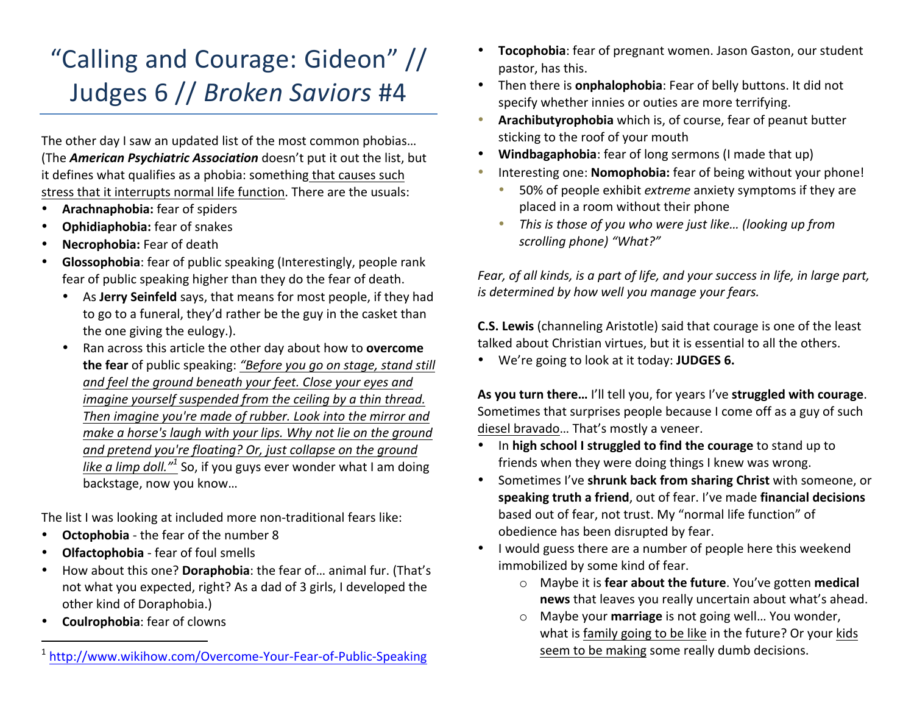# "Calling and Courage: Gideon" // Judges 6 // *Broken Saviors* #4

The other day I saw an updated list of the most common phobias... (The **American Psychiatric Association** doesn't put it out the list, but it defines what qualifies as a phobia: something that causes such stress that it interrupts normal life function. There are the usuals:

- **Arachnaphobia:** fear of spiders
- **Ophidiaphobia:** fear of snakes
- **Necrophobia:** Fear of death
- **Glossophobia**: fear of public speaking (Interestingly, people rank fear of public speaking higher than they do the fear of death.
	- As **Jerry Seinfeld** says, that means for most people, if they had to go to a funeral, they'd rather be the guy in the casket than the one giving the eulogy.).
	- Ran across this article the other day about how to **overcome the fear** of public speaking: "Before you go on stage, stand still and feel the ground beneath your feet. Close your eyes and *imagine* yourself suspended from the ceiling by a thin thread. Then imagine you're made of rubber. Look into the mirror and *make a horse's laugh with your lips. Why not lie on the ground* and pretend you're floating? Or, just collapse on the ground *like a limp doll.*"<sup>1</sup> So, if you guys ever wonder what I am doing backstage, now you know...

The list I was looking at included more non-traditional fears like:

- **Octophobia** the fear of the number 8
- **Olfactophobia** fear of foul smells
- How about this one? **Doraphobia**: the fear of... animal fur. (That's not what you expected, right? As a dad of 3 girls, I developed the other kind of Doraphobia.)
- **Coulrophobia:** fear of clowns

 

- **Tocophobia**: fear of pregnant women. Jason Gaston, our student pastor, has this.
- Then there is **onphalophobia**: Fear of belly buttons. It did not specify whether innies or outies are more terrifying.
- **Arachibutyrophobia** which is, of course, fear of peanut butter sticking to the roof of your mouth
- **Windbagaphobia**: fear of long sermons (I made that up)
- Interesting one: **Nomophobia:** fear of being without your phone!
	- 50% of people exhibit *extreme* anxiety symptoms if they are placed in a room without their phone
	- This is those of you who were just like... (looking up from *scrolling phone) "What?"*

*Fear, of all kinds, is a part of life, and your success in life, in large part, is* determined by how well you manage your fears.

**C.S. Lewis** (channeling Aristotle) said that courage is one of the least talked about Christian virtues, but it is essential to all the others.

• We're going to look at it today: **JUDGES 6.**

As you turn there... I'll tell you, for years I've struggled with courage. Sometimes that surprises people because I come off as a guy of such diesel bravado... That's mostly a veneer.

- In **high school I struggled to find the courage** to stand up to friends when they were doing things I knew was wrong.
- Sometimes I've **shrunk back from sharing Christ** with someone, or **speaking truth a friend**, out of fear. I've made **financial decisions** based out of fear, not trust. My "normal life function" of obedience has been disrupted by fear.
- I would guess there are a number of people here this weekend immobilized by some kind of fear.
	- o Maybe it is **fear about the future**. You've gotten **medical news** that leaves you really uncertain about what's ahead.
	- o Maybe your **marriage** is not going well... You wonder, what is family going to be like in the future? Or your kids seem to be making some really dumb decisions.

<sup>1</sup> http://www.wikihow.com/Overcome-Your-Fear-of-Public-Speaking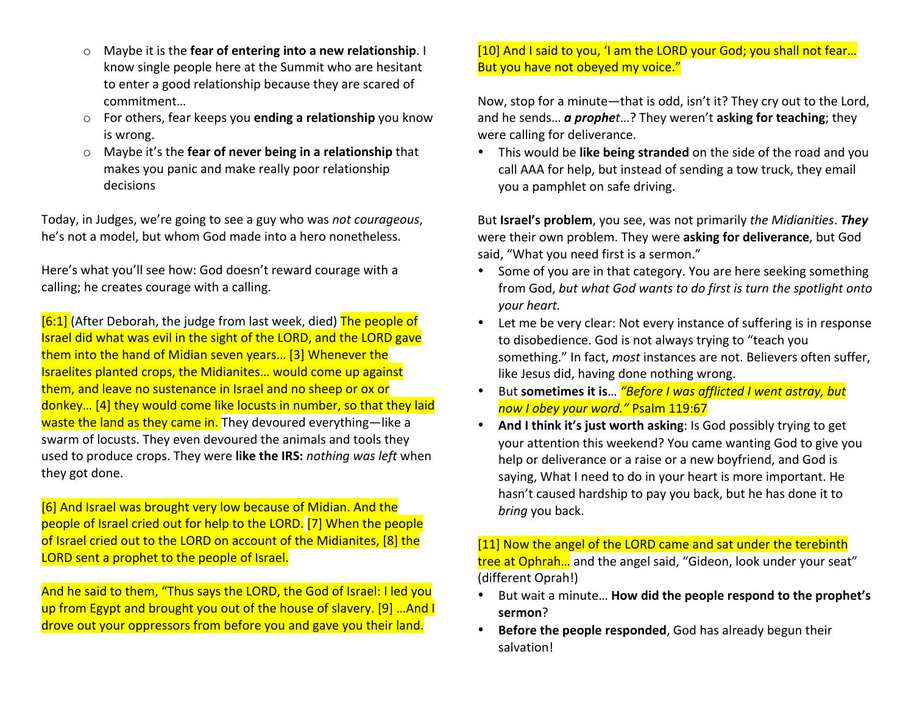- o Maybe it is the **fear of entering into a new relationship**. I know single people here at the Summit who are hesitant to enter a good relationship because they are scared of commitment…
- o For others, fear keeps you **ending a relationship** you know is wrong.
- o Maybe it's the **fear of never being in a relationship** that makes you panic and make really poor relationship decisions

Today, in Judges, we're going to see a guy who was *not courageous*, he's not a model, but whom God made into a hero nonetheless.

Here's what you'll see how: God doesn't reward courage with a calling; he creates courage with a calling.

[6:1] (After Deborah, the judge from last week, died) The people of Israel did what was evil in the sight of the LORD, and the LORD gave them into the hand of Midian seven years... [3] Whenever the Israelites planted crops, the Midianites... would come up against them, and leave no sustenance in Israel and no sheep or ox or donkey... [4] they would come like locusts in number, so that they laid waste the land as they came in. They devoured everything-like a swarm of locusts. They even devoured the animals and tools they used to produce crops. They were **like the IRS:** *nothing was left* when they got done.

[6] And Israel was brought very low because of Midian. And the people of Israel cried out for help to the LORD. [7] When the people of Israel cried out to the LORD on account of the Midianites, [8] the LORD sent a prophet to the people of Israel.

And he said to them, "Thus says the LORD, the God of Israel: I led you up from Egypt and brought you out of the house of slavery. [9] ...And I drove out your oppressors from before you and gave you their land.

[10] And I said to you, 'I am the LORD your God; you shall not fear... But you have not obeyed my voice."

Now, stop for a minute—that is odd, isn't it? They cry out to the Lord, and he sends... **a prophet**...? They weren't **asking for teaching**; they were calling for deliverance.

• This would be **like being stranded** on the side of the road and you call AAA for help, but instead of sending a tow truck, they email you a pamphlet on safe driving.

But **Israel's problem**, you see, was not primarily the Midianities. They were their own problem. They were **asking for deliverance**, but God said, "What you need first is a sermon."

- Some of you are in that category. You are here seeking something from God, but what God wants to do first is turn the spotlight onto *your heart.*
- Let me be very clear: Not every instance of suffering is in response to disobedience. God is not always trying to "teach you something." In fact, *most* instances are not. Believers often suffer, like Jesus did, having done nothing wrong.
- But sometimes it is... **"Before I was afflicted I went astray, but** *now I obey your word."* Psalm 119:67
- And I think it's just worth asking: Is God possibly trying to get your attention this weekend? You came wanting God to give you help or deliverance or a raise or a new boyfriend, and God is saying, What I need to do in your heart is more important. He hasn't caused hardship to pay you back, but he has done it to *bring* you back.

[11] Now the angel of the LORD came and sat under the terebinth tree at Ophrah... and the angel said, "Gideon, look under your seat" (different Oprah!)

- But wait a minute... How did the people respond to the prophet's **sermon**?
- Before the people responded, God has already begun their salvation!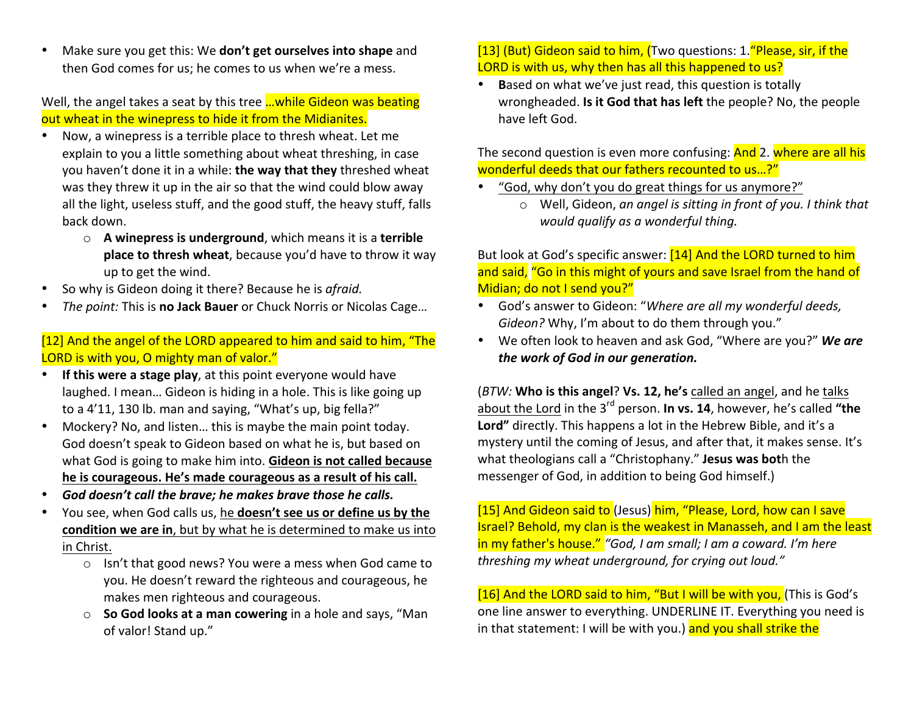• Make sure you get this: We **don't get ourselves into shape** and then God comes for us; he comes to us when we're a mess.

Well, the angel takes a seat by this tree ...while Gideon was beating out wheat in the winepress to hide it from the Midianites.

- Now, a winepress is a terrible place to thresh wheat. Let me explain to you a little something about wheat threshing, in case you haven't done it in a while: **the way that they** threshed wheat was they threw it up in the air so that the wind could blow away all the light, useless stuff, and the good stuff, the heavy stuff, falls back down.
	- o **A winepress is underground**, which means it is a **terrible place to thresh wheat**, because you'd have to throw it way up to get the wind.
- So why is Gideon doing it there? Because he is *afraid.*
- The point: This is no Jack Bauer or Chuck Norris or Nicolas Cage...

#### [12] And the angel of the LORD appeared to him and said to him, "The LORD is with you, O mighty man of valor."

- If this were a stage play, at this point everyone would have laughed. I mean... Gideon is hiding in a hole. This is like going up to a 4'11, 130 lb. man and saying, "What's up, big fella?"
- Mockery? No, and listen... this is maybe the main point today. God doesn't speak to Gideon based on what he is, but based on what God is going to make him into. Gideon is not called because he is courageous. He's made courageous as a result of his call.
- *God doesn't call the brave; he makes brave those he calls.*
- You see, when God calls us, he **doesn't see us or define us by the condition** we are in, but by what he is determined to make us into in Christ.
	- $\circ$  Isn't that good news? You were a mess when God came to you. He doesn't reward the righteous and courageous, he makes men righteous and courageous.
	- $\circ$  **So God looks at a man cowering** in a hole and says, "Man of valor! Stand up."

#### [13] (But) Gideon said to him, (Two questions: 1. "Please, sir, if the LORD is with us, why then has all this happened to us?

**Based on what we've just read, this question is totally** wrongheaded. **Is it God that has left** the people? No, the people have left God.

#### The second question is even more confusing: And 2. where are all his wonderful deeds that our fathers recounted to us...?"

- "God, why don't you do great things for us anymore?"
	- o Well, Gideon, an angel is sitting in front of you. I think that *would qualify as a wonderful thing.*

### But look at God's specific answer: [14] And the LORD turned to him and said, "Go in this might of yours and save Israel from the hand of Midian; do not I send you?"

- God's answer to Gideon: "Where are all my wonderful deeds, *Gideon?* Why, I'm about to do them through you."
- We often look to heaven and ask God, "Where are you?" We are the work of God in our generation.

(*BTW:* Who is this angel? Vs. 12, he's called an angel, and he talks about the Lord in the  $3^{rd}$  person. In vs. 14, however, he's called "the Lord" directly. This happens a lot in the Hebrew Bible, and it's a mystery until the coming of Jesus, and after that, it makes sense. It's what theologians call a "Christophany." **Jesus was bot**h the messenger of God, in addition to being God himself.)

[15] And Gideon said to (Jesus) him, "Please, Lord, how can I save Israel? Behold, my clan is the weakest in Manasseh, and I am the least in my father's house." "God, I am small; I am a coward. I'm here *threshing my wheat underground, for crying out loud."*

 $[16]$  And the LORD said to him, "But I will be with you, (This is God's one line answer to everything. UNDERLINE IT. Everything you need is in that statement: I will be with you.) and you shall strike the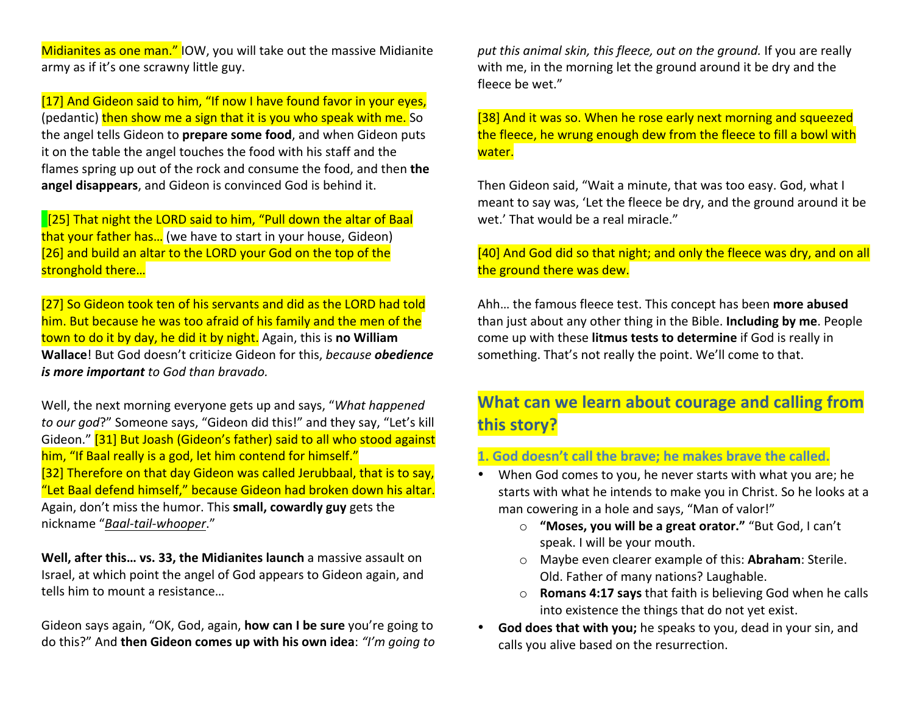Midianites as one man." IOW, you will take out the massive Midianite army as if it's one scrawny little guy.

[17] And Gideon said to him, "If now I have found favor in your eyes, (pedantic) then show me a sign that it is you who speak with me. So the angel tells Gideon to **prepare some food**, and when Gideon puts it on the table the angel touches the food with his staff and the flames spring up out of the rock and consume the food, and then **the** angel disappears, and Gideon is convinced God is behind it.

[25] That night the LORD said to him, "Pull down the altar of Baal that your father has... (we have to start in your house, Gideon) [26] and build an altar to the LORD your God on the top of the stronghold there...

[27] So Gideon took ten of his servants and did as the LORD had told him. But because he was too afraid of his family and the men of the town to do it by day, he did it by night. Again, this is no William **Wallace!** But God doesn't criticize Gideon for this, because **obedience** *is* more important to God than bravado.

Well, the next morning everyone gets up and says, "*What happened to our god*?" Someone says, "Gideon did this!" and they say, "Let's kill Gideon." [31] But Joash (Gideon's father) said to all who stood against him, "If Baal really is a god, let him contend for himself."

[32] Therefore on that day Gideon was called Jerubbaal, that is to say, "Let Baal defend himself," because Gideon had broken down his altar. Again, don't miss the humor. This **small, cowardly guy** gets the nickname "*Baal-tail-whooper*."

**Well, after this... vs. 33, the Midianites launch** a massive assault on Israel, at which point the angel of God appears to Gideon again, and tells him to mount a resistance...

Gideon says again, "OK, God, again, **how can I be sure** you're going to do this?" And then Gideon comes up with his own idea: "I'm going to

put this animal skin, this fleece, out on the ground. If you are really with me, in the morning let the ground around it be dry and the fleece be wet."

[38] And it was so. When he rose early next morning and squeezed the fleece, he wrung enough dew from the fleece to fill a bowl with water.

Then Gideon said, "Wait a minute, that was too easy. God, what I meant to say was, 'Let the fleece be dry, and the ground around it be wet.' That would be a real miracle."

#### [40] And God did so that night; and only the fleece was dry, and on all the ground there was dew.

Ahh... the famous fleece test. This concept has been **more abused** than just about any other thing in the Bible. **Including by me**. People come up with these **litmus tests to determine** if God is really in something. That's not really the point. We'll come to that.

## **What can we learn about courage and calling from this story?**

#### 1. God doesn't call the brave; he makes brave the called.

- When God comes to you, he never starts with what you are; he starts with what he intends to make you in Christ. So he looks at a man cowering in a hole and says, "Man of valor!"
	- $\circ$  "Moses, you will be a great orator." "But God, I can't speak. I will be your mouth.
	- o Maybe even clearer example of this: **Abraham**: Sterile. Old. Father of many nations? Laughable.
	- o **Romans 4:17 says** that faith is believing God when he calls into existence the things that do not yet exist.
- God does that with you; he speaks to you, dead in your sin, and calls you alive based on the resurrection.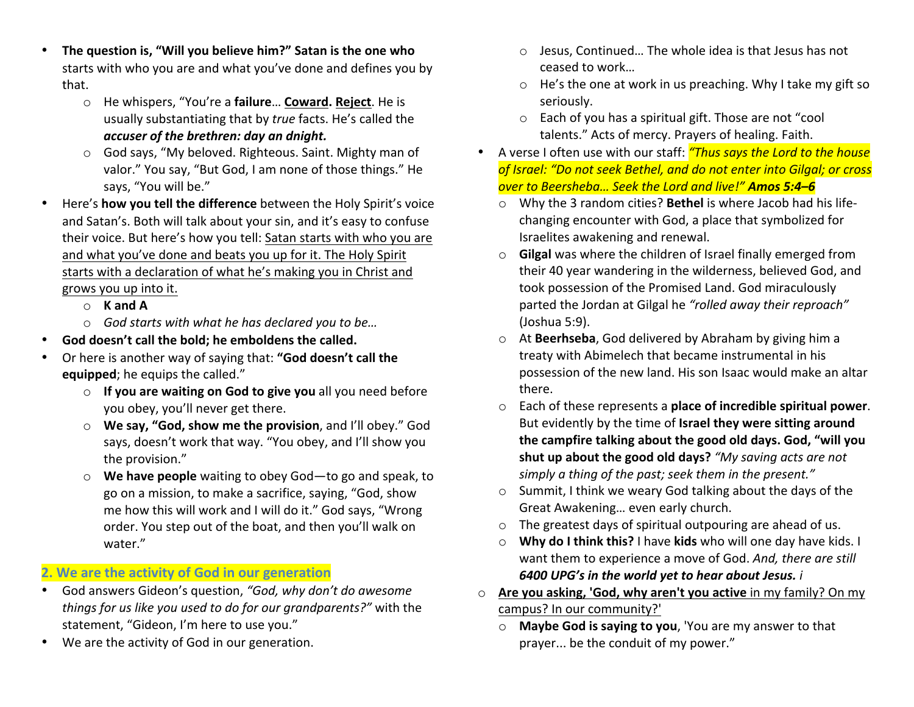- The question is, "Will you believe him?" Satan is the one who starts with who you are and what you've done and defines you by that.
	- o He whispers, "You're a **failure**… **Coward. Reject**. He is usually substantiating that by *true* facts. He's called the *accuser of the brethren: day an dnight.*
	- $\circ$  God says, "My beloved. Righteous. Saint. Mighty man of valor." You say, "But God, I am none of those things." He says, "You will be."
- Here's **how you tell the difference** between the Holy Spirit's voice and Satan's. Both will talk about your sin, and it's easy to confuse their voice. But here's how you tell: Satan starts with who you are and what you've done and beats you up for it. The Holy Spirit starts with a declaration of what he's making you in Christ and grows you up into it.
	- o **K and A**
	- God starts with what he has declared you to be...
- God doesn't call the bold; he emboldens the called.
- Or here is another way of saying that: "God doesn't call the **equipped**; he equips the called."
	- o **If you are waiting on God to give you** all you need before you obey, you'll never get there.
	- o **We say, "God, show me the provision**, and I'll obey." God says, doesn't work that way. "You obey, and I'll show you the provision."
	- o **We have people** waiting to obey God—to go and speak, to go on a mission, to make a sacrifice, saying, "God, show me how this will work and I will do it." God says, "Wrong order. You step out of the boat, and then you'll walk on water."

## **2.** We are the activity of God in our generation

- God answers Gideon's question, "God, why don't do awesome *things for us like you used to do for our grandparents?"* with the statement, "Gideon, I'm here to use you."
- We are the activity of God in our generation.
- $\circ$  Jesus, Continued... The whole idea is that Jesus has not ceased to work…
- $\circ$  He's the one at work in us preaching. Why I take my gift so seriously.
- $\circ$  Each of you has a spiritual gift. Those are not "cool talents." Acts of mercy. Prayers of healing. Faith.
- A verse I often use with our staff: *"Thus says the Lord to the house of Israel: "Do not seek Bethel, and do not enter into Gilgal; or cross <u>over to Beersheba... Seek the Lord and live!" Amos 5:4–6*</u>
	- o Why the 3 random cities? **Bethel** is where Jacob had his lifechanging encounter with God, a place that symbolized for Israelites awakening and renewal.
	- o **Gilgal** was where the children of Israel finally emerged from their 40 year wandering in the wilderness, believed God, and took possession of the Promised Land. God miraculously parted the Jordan at Gilgal he "rolled away their reproach"  $($ Joshua 5:9 $).$
	- o At **Beerhseba**, God delivered by Abraham by giving him a treaty with Abimelech that became instrumental in his possession of the new land. His son Isaac would make an altar there.
	- o Each of these represents a **place of incredible spiritual power**. But evidently by the time of **Israel they were sitting around** the campfire talking about the good old days. God, "will you **shut up about the good old days?** "My saving acts are not simply a thing of the past; seek them in the present."
	- $\circ$  Summit, I think we weary God talking about the days of the Great Awakening... even early church.
	- $\circ$  The greatest days of spiritual outpouring are ahead of us.
	- o **Why do I think this?** I have **kids** who will one day have kids. I want them to experience a move of God. And, there are still *6400 UPG's in the world yet to hear about Jesus. i*
- o **Are you asking, 'God, why aren't you active** in my family? On my campus? In our community?'
	- o **Maybe God is saying to you**, 'You are my answer to that prayer... be the conduit of my power."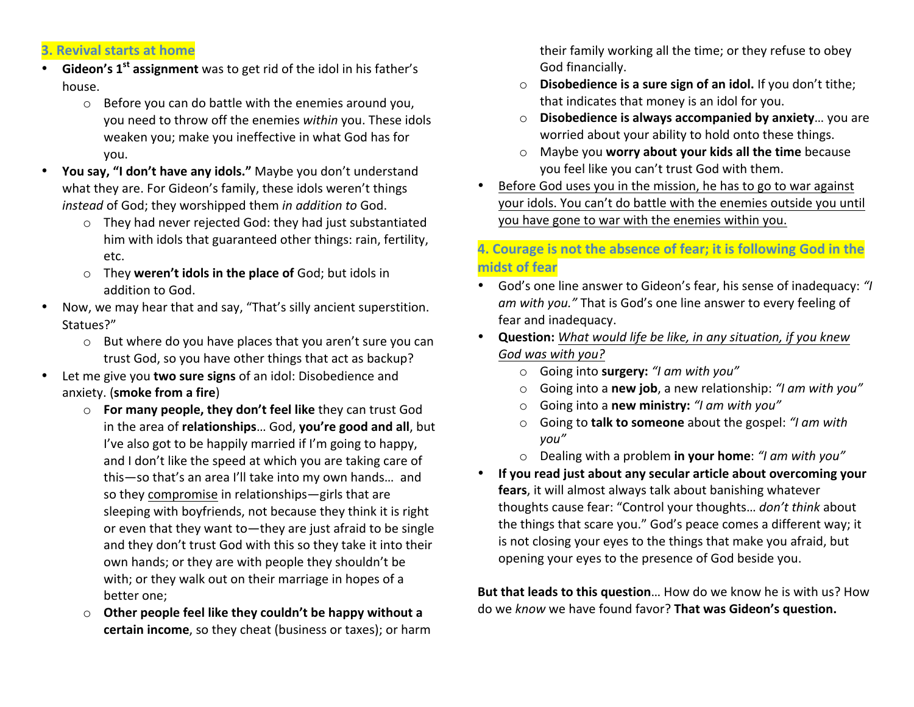#### **3. Revival starts at home**

- **Gideon's 1<sup>st</sup> assignment** was to get rid of the idol in his father's house.
	- $\circ$  Before you can do battle with the enemies around you, you need to throw off the enemies within you. These idols weaken you; make you ineffective in what God has for you.
- You say, "I don't have any idols." Maybe you don't understand what they are. For Gideon's family, these idols weren't things *instead* of God; they worshipped them *in addition to* God.
	- $\circ$  They had never rejected God: they had just substantiated him with idols that guaranteed other things: rain, fertility, etc.
	- o They weren't idols in the place of God; but idols in addition to God.
- Now, we may hear that and say, "That's silly ancient superstition. Statues?"
	- $\circ$  But where do you have places that you aren't sure you can trust God, so you have other things that act as backup?
- Let me give you **two sure signs** of an idol: Disobedience and anxiety. (**smoke from a fire**)
	- o **For many people, they don't feel like** they can trust God in the area of **relationships**... God, **you're good and all**, but I've also got to be happily married if I'm going to happy, and I don't like the speed at which you are taking care of this-so that's an area I'll take into my own hands... and so they compromise in relationships—girls that are sleeping with boyfriends, not because they think it is right or even that they want to—they are just afraid to be single and they don't trust God with this so they take it into their own hands; or they are with people they shouldn't be with; or they walk out on their marriage in hopes of a better one;
	- $\circ$  Other people feel like they couldn't be happy without a **certain income**, so they cheat (business or taxes); or harm

their family working all the time; or they refuse to obey God financially.

- **Disobedience is a sure sign of an idol.** If you don't tithe; that indicates that money is an idol for you.
- **Disobedience is always accompanied by anxiety**… you are worried about your ability to hold onto these things.
- o Maybe you worry about your kids all the time because you feel like you can't trust God with them.
- Before God uses you in the mission, he has to go to war against your idols. You can't do battle with the enemies outside you until you have gone to war with the enemies within you.

## 4. Courage is not the absence of fear; it is following God in the **midst of fear**

- God's one line answer to Gideon's fear, his sense of inadequacy: "I *am* with you." That is God's one line answer to every feeling of fear and inadequacy.
- **Question:** *What would life be like, in any situation, if you knew God was with you?*
	- $\circ$  Going into **surgery:** "I am with you"
	- Going into a **new job**, a new relationship: *"I am with you"*
	- Going into a **new ministry:** "I am with you"
	- Going to **talk to someone** about the gospel: *"I am with you"*
	- o Dealing with a problem **in your home**: *"I am with you"*
- If you read just about any secular article about overcoming your **fears**, it will almost always talk about banishing whatever thoughts cause fear: "Control your thoughts... *don't think* about the things that scare you." God's peace comes a different way; it is not closing your eyes to the things that make you afraid, but opening your eyes to the presence of God beside you.

**But that leads to this question...** How do we know he is with us? How do we know we have found favor? That was Gideon's question.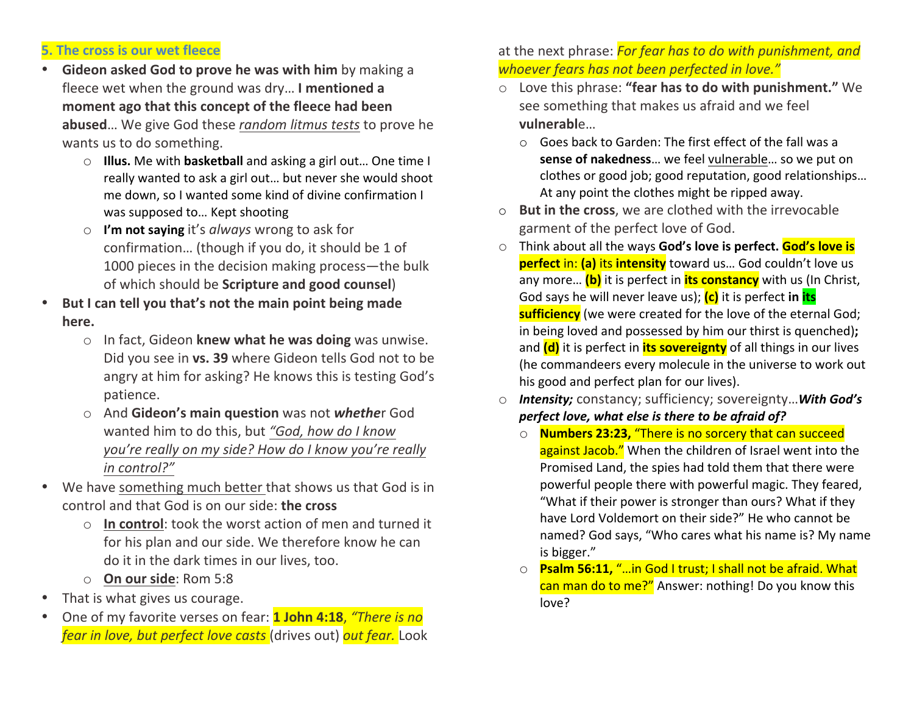#### **5. The cross is our wet fleece**

- Gideon asked God to prove he was with him by making a fleece wet when the ground was dry... I mentioned a moment ago that this concept of the fleece had been **abused**... We give God these *random litmus tests* to prove he wants us to do something.
	- o **Illus.** Me with **basketball** and asking a girl out… One time I really wanted to ask a girl out... but never she would shoot me down, so I wanted some kind of divine confirmation I was supposed to... Kept shooting
	- o **I'm not saying** it's *always* wrong to ask for confirmation... (though if you do, it should be 1 of 1000 pieces in the decision making process—the bulk of which should be **Scripture and good counsel**)
- **But I can tell you that's not the main point being made** here.
	- o In fact, Gideon **knew what he was doing** was unwise. Did you see in vs. 39 where Gideon tells God not to be angry at him for asking? He knows this is testing God's patience.
	- o And **Gideon's main question** was not *whethe*r God wanted him to do this, but "God, how do I know *you're really on my side? How do I know you're really in control?"*
- We have something much better that shows us that God is in control and that God is on our side: **the cross** 
	- o **In control**: took the worst action of men and turned it for his plan and our side. We therefore know he can do it in the dark times in our lives, too.
	- o **On our side**: Rom 5:8
- That is what gives us courage.
- One of my favorite verses on fear: **1 John 4:18**, *"There is no fear in love, but perfect love casts* (drives out) *out fear.* Look

at the next phrase: *For fear has to do with punishment, and* whoever fears has not been perfected in love."

- o Love this phrase: "fear has to do with punishment." We see something that makes us afraid and we feel **vulnerabl**e…
	- $\circ$  Goes back to Garden: The first effect of the fall was a sense of nakedness... we feel vulnerable... so we put on clothes or good job; good reputation, good relationships... At any point the clothes might be ripped away.
- o **But in the cross**, we are clothed with the irrevocable garment of the perfect love of God.
- o Think about all the ways **God's love is perfect. God's love is perfect in: (a) its intensity** toward us... God couldn't love us any more... **(b)** it is perfect in **its constancy** with us (In Christ, God says he will never leave us); (c) it is perfect in **its sufficiency** (we were created for the love of the eternal God; in being loved and possessed by him our thirst is quenched); and **(d)** it is perfect in **its sovereignty** of all things in our lives (he commandeers every molecule in the universe to work out his good and perfect plan for our lives).
- o **Intensity;** constancy; sufficiency; sovereignty... **With God's** perfect love, what else is there to be afraid of?
	- o **Numbers 23:23, "There is no sorcery that can succeed** against Jacob." When the children of Israel went into the Promised Land, the spies had told them that there were powerful people there with powerful magic. They feared, "What if their power is stronger than ours? What if they have Lord Voldemort on their side?" He who cannot be named? God says, "Who cares what his name is? My name is bigger."
	- **Psalm 56:11, "**...in God I trust; I shall not be afraid. What can man do to me?" Answer: nothing! Do you know this love?